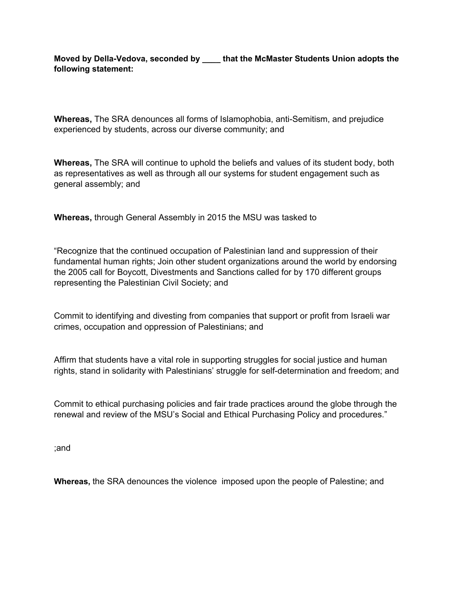## **Moved by Della-Vedova, seconded by \_\_\_\_ that the McMaster Students Union adopts the following statement:**

**Whereas,** The SRA denounces all forms of Islamophobia, anti-Semitism, and prejudice experienced by students, across our diverse community; and

**Whereas,** The SRA will continue to uphold the beliefs and values of its student body, both as representatives as well as through all our systems for student engagement such as general assembly; and

**Whereas,** through General Assembly in 2015 the MSU was tasked to

"Recognize that the continued occupation of Palestinian land and suppression of their fundamental human rights; Join other student organizations around the world by endorsing the 2005 call for Boycott, Divestments and Sanctions called for by 170 different groups representing the Palestinian Civil Society; and

Commit to identifying and divesting from companies that support or profit from Israeli war crimes, occupation and oppression of Palestinians; and

Affirm that students have a vital role in supporting struggles for social justice and human rights, stand in solidarity with Palestinians' struggle for self-determination and freedom; and

Commit to ethical purchasing policies and fair trade practices around the globe through the renewal and review of the MSU's Social and Ethical Purchasing Policy and procedures."

;and

**Whereas,** the SRA denounces the violence imposed upon the people of Palestine; and